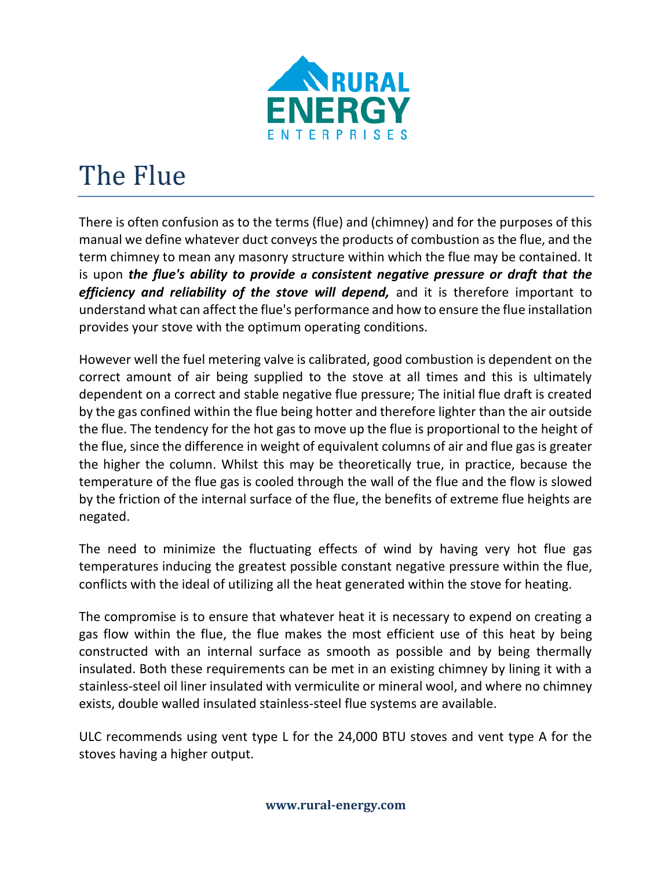

## The Flue

There is often confusion as to the terms (flue) and (chimney) and for the purposes of this manual we define whatever duct conveys the products of combustion as the flue, and the term chimney to mean any masonry structure within which the flue may be contained. It is upon *the flue's ability to provide a consistent negative pressure or draft that the efficiency and reliability of the stove will depend,* and it is therefore important to understand what can affect the flue's performance and how to ensure the flue installation provides your stove with the optimum operating conditions.

However well the fuel metering valve is calibrated, good combustion is dependent on the correct amount of air being supplied to the stove at all times and this is ultimately dependent on a correct and stable negative flue pressure; The initial flue draft is created by the gas confined within the flue being hotter and therefore lighter than the air outside the flue. The tendency for the hot gas to move up the flue is proportional to the height of the flue, since the difference in weight of equivalent columns of air and flue gas is greater the higher the column. Whilst this may be theoretically true, in practice, because the temperature of the flue gas is cooled through the wall of the flue and the flow is slowed by the friction of the internal surface of the flue, the benefits of extreme flue heights are negated.

The need to minimize the fluctuating effects of wind by having very hot flue gas temperatures inducing the greatest possible constant negative pressure within the flue, conflicts with the ideal of utilizing all the heat generated within the stove for heating.

The compromise is to ensure that whatever heat it is necessary to expend on creating a gas flow within the flue, the flue makes the most efficient use of this heat by being constructed with an internal surface as smooth as possible and by being thermally insulated. Both these requirements can be met in an existing chimney by lining it with a stainless-steel oil liner insulated with vermiculite or mineral wool, and where no chimney exists, double walled insulated stainless-steel flue systems are available.

ULC recommends using vent type L for the 24,000 BTU stoves and vent type A for the stoves having a higher output.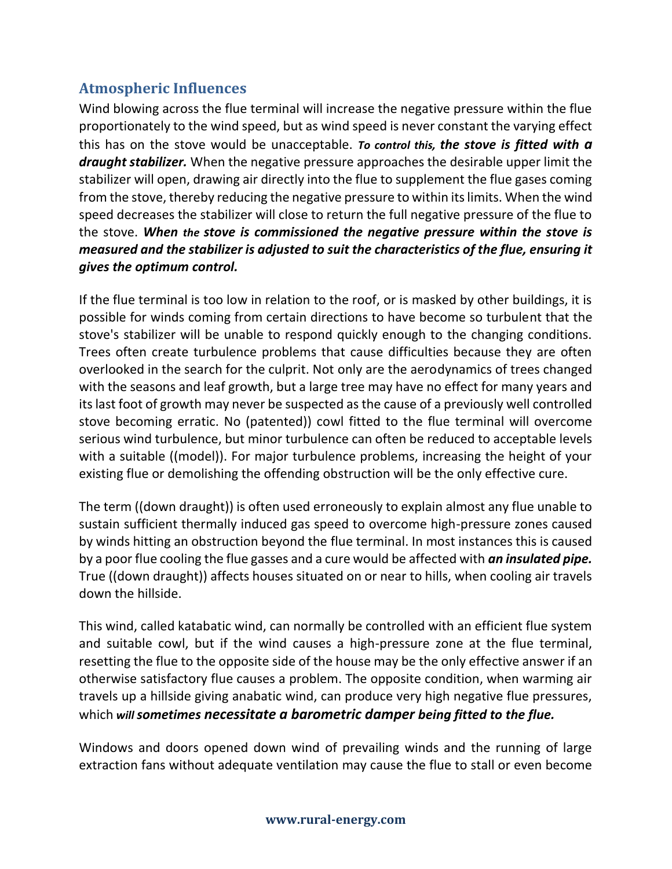## **Atmospheric Influences**

Wind blowing across the flue terminal will increase the negative pressure within the flue proportionately to the wind speed, but as wind speed is never constant the varying effect this has on the stove would be unacceptable. *To control this, the stove is fitted with a draught stabilizer.* When the negative pressure approaches the desirable upper limit the stabilizer will open, drawing air directly into the flue to supplement the flue gases coming from the stove, thereby reducing the negative pressure to within its limits. When the wind speed decreases the stabilizer will close to return the full negative pressure of the flue to the stove. *When the stove is commissioned the negative pressure within the stove is measured and the stabilizer is adjusted to suit the characteristics of the flue, ensuring it gives the optimum control.*

If the flue terminal is too low in relation to the roof, or is masked by other buildings, it is possible for winds coming from certain directions to have become so turbulent that the stove's stabilizer will be unable to respond quickly enough to the changing conditions. Trees often create turbulence problems that cause difficulties because they are often overlooked in the search for the culprit. Not only are the aerodynamics of trees changed with the seasons and leaf growth, but a large tree may have no effect for many years and its last foot of growth may never be suspected as the cause of a previously well controlled stove becoming erratic. No (patented)) cowl fitted to the flue terminal will overcome serious wind turbulence, but minor turbulence can often be reduced to acceptable levels with a suitable ((model)). For major turbulence problems, increasing the height of your existing flue or demolishing the offending obstruction will be the only effective cure.

The term ((down draught)) is often used erroneously to explain almost any flue unable to sustain sufficient thermally induced gas speed to overcome high-pressure zones caused by winds hitting an obstruction beyond the flue terminal. In most instances this is caused by a poor flue cooling the flue gasses and a cure would be affected with *an insulated pipe.*  True ((down draught)) affects houses situated on or near to hills, when cooling air travels down the hillside.

This wind, called katabatic wind, can normally be controlled with an efficient flue system and suitable cowl, but if the wind causes a high-pressure zone at the flue terminal, resetting the flue to the opposite side of the house may be the only effective answer if an otherwise satisfactory flue causes a problem. The opposite condition, when warming air travels up a hillside giving anabatic wind, can produce very high negative flue pressures, which *will sometimes necessitate a barometric damper being fitted to the flue.*

Windows and doors opened down wind of prevailing winds and the running of large extraction fans without adequate ventilation may cause the flue to stall or even become